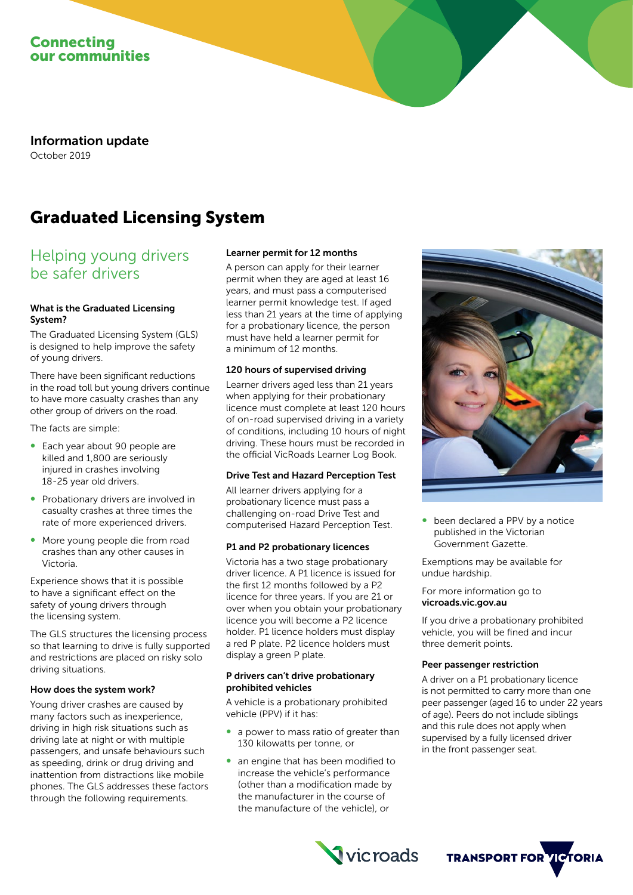

Information update October 2019

# Graduated Licensing System

## Helping young drivers be safer drivers

## What is the Graduated Licensing System?

The Graduated Licensing System (GLS) is designed to help improve the safety of young drivers.

There have been significant reductions in the road toll but young drivers continue to have more casualty crashes than any other group of drivers on the road.

The facts are simple:

- ∞ Each year about 90 people are killed and 1,800 are seriously injured in crashes involving 18-25 year old drivers.
- ∞ Probationary drivers are involved in casualty crashes at three times the rate of more experienced drivers.
- ∞ More young people die from road crashes than any other causes in Victoria.

Experience shows that it is possible to have a significant effect on the safety of young drivers through the licensing system.

The GLS structures the licensing process so that learning to drive is fully supported and restrictions are placed on risky solo driving situations.

## How does the system work?

Young driver crashes are caused by many factors such as inexperience, driving in high risk situations such as driving late at night or with multiple passengers, and unsafe behaviours such as speeding, drink or drug driving and inattention from distractions like mobile phones. The GLS addresses these factors through the following requirements.

## Learner permit for 12 months

A person can apply for their learner permit when they are aged at least 16 years, and must pass a computerised learner permit knowledge test. If aged less than 21 years at the time of applying for a probationary licence, the person must have held a learner permit for a minimum of 12 months.

#### 120 hours of supervised driving

Learner drivers aged less than 21 years when applying for their probationary licence must complete at least 120 hours of on-road supervised driving in a variety of conditions, including 10 hours of night driving. These hours must be recorded in the official VicRoads Learner Log Book.

## Drive Test and Hazard Perception Test

All learner drivers applying for a probationary licence must pass a challenging on-road Drive Test and computerised Hazard Perception Test.

## P1 and P2 probationary licences

Victoria has a two stage probationary driver licence. A P1 licence is issued for the first 12 months followed by a P2 licence for three years. If you are 21 or over when you obtain your probationary licence you will become a P2 licence holder. P1 licence holders must display a red P plate. P2 licence holders must display a green P plate.

#### P drivers can't drive probationary prohibited vehicles

A vehicle is a probationary prohibited vehicle (PPV) if it has:

- a power to mass ratio of greater than 130 kilowatts per tonne, or
- an engine that has been modified to increase the vehicle's performance (other than a modification made by the manufacturer in the course of the manufacture of the vehicle), or



been declared a PPV by a notice published in the Victorian Government Gazette.

Exemptions may be available for undue hardship.

### For more information go to vicroads.vic.gov.au

If you drive a probationary prohibited vehicle, you will be fined and incur three demerit points.

#### Peer passenger restriction

A driver on a P1 probationary licence is not permitted to carry more than one peer passenger (aged 16 to under 22 years of age). Peers do not include siblings and this rule does not apply when supervised by a fully licensed driver in the front passenger seat.



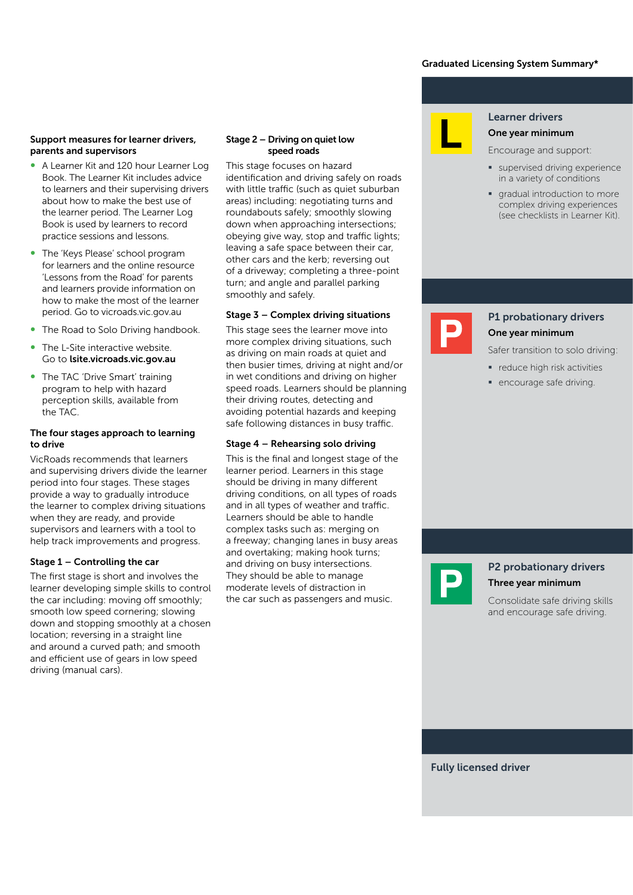## Graduated Licensing System Summary\*

## Support measures for learner drivers, parents and supervisors

- ∞ A Learner Kit and 120 hour Learner Log Book. The Learner Kit includes advice to learners and their supervising drivers about how to make the best use of the learner period. The Learner Log Book is used by learners to record practice sessions and lessons.
- The 'Keys Please' school program for learners and the online resource 'Lessons from the Road' for parents and learners provide information on how to make the most of the learner period. Go to vicroads.vic.gov.au
- The Road to Solo Driving handbook.
- The L-Site interactive website. Go to lsite.vicroads.vic.gov.au
- ∞ The TAC 'Drive Smart' training program to help with hazard perception skills, available from the TAC.

## The four stages approach to learning to drive

VicRoads recommends that learners and supervising drivers divide the learner period into four stages. These stages provide a way to gradually introduce the learner to complex driving situations when they are ready, and provide supervisors and learners with a tool to help track improvements and progress.

## Stage 1 – Controlling the car

The first stage is short and involves the learner developing simple skills to control the car including: moving off smoothly; smooth low speed cornering; slowing down and stopping smoothly at a chosen location; reversing in a straight line and around a curved path; and smooth and efficient use of gears in low speed driving (manual cars).

#### Stage 2 – Driving on quiet low speed roads

This stage focuses on hazard identification and driving safely on roads with little traffic (such as quiet suburban areas) including: negotiating turns and roundabouts safely; smoothly slowing down when approaching intersections; obeying give way, stop and traffic lights; leaving a safe space between their car, other cars and the kerb; reversing out of a driveway; completing a three-point turn; and angle and parallel parking smoothly and safely.

## Stage 3 – Complex driving situations

This stage sees the learner move into more complex driving situations, such as driving on main roads at quiet and then busier times, driving at night and/or in wet conditions and driving on higher speed roads. Learners should be planning their driving routes, detecting and avoiding potential hazards and keeping safe following distances in busy traffic.

## Stage 4 – Rehearsing solo driving

This is the final and longest stage of the learner period. Learners in this stage should be driving in many different driving conditions, on all types of roads and in all types of weather and traffic. Learners should be able to handle complex tasks such as: merging on a freeway; changing lanes in busy areas and overtaking; making hook turns; and driving on busy intersections. They should be able to manage moderate levels of distraction in the car such as passengers and music.



## Learner drivers

One year minimum

Encourage and support:

- supervised driving experience in a variety of conditions
- **•** gradual introduction to more complex driving experiences (see checklists in Learner Kit).



## P1 probationary drivers One year minimum

Safer transition to solo driving:

- reduce high risk activities
	- encourage safe driving.



## P2 probationary drivers Three year minimum

Consolidate safe driving skills and encourage safe driving.

Fully licensed driver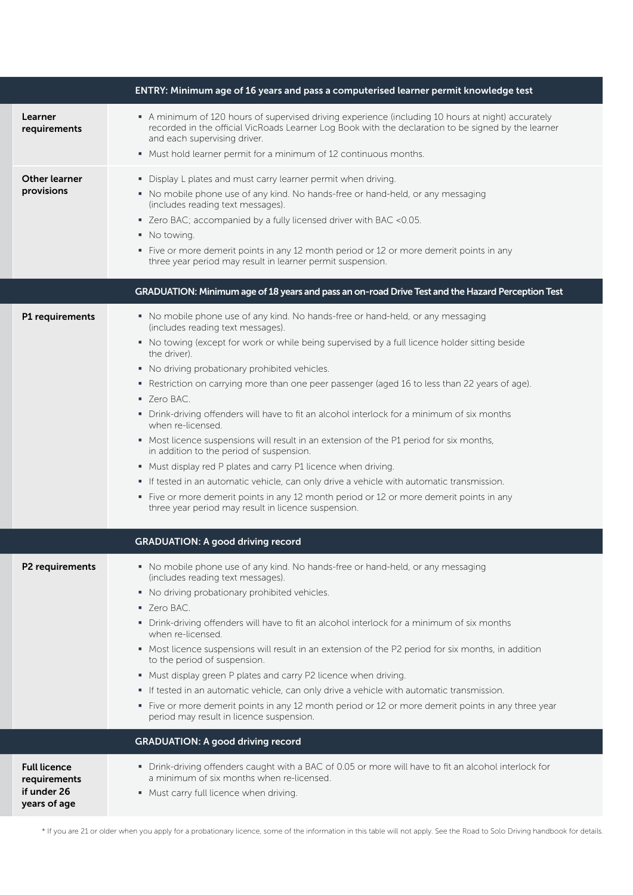|                                                                    | ENTRY: Minimum age of 16 years and pass a computerised learner permit knowledge test                                                                                                                                                                                                                                                                                                                                                                                                                                                                                                                                                                                                                                                                                                                                                                                                                                                                                                |
|--------------------------------------------------------------------|-------------------------------------------------------------------------------------------------------------------------------------------------------------------------------------------------------------------------------------------------------------------------------------------------------------------------------------------------------------------------------------------------------------------------------------------------------------------------------------------------------------------------------------------------------------------------------------------------------------------------------------------------------------------------------------------------------------------------------------------------------------------------------------------------------------------------------------------------------------------------------------------------------------------------------------------------------------------------------------|
| Learner<br>requirements                                            | • A minimum of 120 hours of supervised driving experience (including 10 hours at night) accurately<br>recorded in the official VicRoads Learner Log Book with the declaration to be signed by the learner<br>and each supervising driver.<br>• Must hold learner permit for a minimum of 12 continuous months.                                                                                                                                                                                                                                                                                                                                                                                                                                                                                                                                                                                                                                                                      |
| Other learner<br>provisions                                        | • Display L plates and must carry learner permit when driving.<br>• No mobile phone use of any kind. No hands-free or hand-held, or any messaging<br>(includes reading text messages).<br>" Zero BAC; accompanied by a fully licensed driver with BAC < 0.05.<br>• No towing.<br>• Five or more demerit points in any 12 month period or 12 or more demerit points in any<br>three year period may result in learner permit suspension.                                                                                                                                                                                                                                                                                                                                                                                                                                                                                                                                             |
|                                                                    | GRADUATION: Minimum age of 18 years and pass an on-road Drive Test and the Hazard Perception Test                                                                                                                                                                                                                                                                                                                                                                                                                                                                                                                                                                                                                                                                                                                                                                                                                                                                                   |
| P1 requirements                                                    | . No mobile phone use of any kind. No hands-free or hand-held, or any messaging<br>(includes reading text messages).<br>• No towing (except for work or while being supervised by a full licence holder sitting beside<br>the driver).<br>• No driving probationary prohibited vehicles.<br>Restriction on carrying more than one peer passenger (aged 16 to less than 22 years of age).<br>" Zero BAC.<br>• Drink-driving offenders will have to fit an alcohol interlock for a minimum of six months<br>when re-licensed.<br>• Most licence suspensions will result in an extension of the P1 period for six months,<br>in addition to the period of suspension.<br>• Must display red P plates and carry P1 licence when driving.<br>If tested in an automatic vehicle, can only drive a vehicle with automatic transmission.<br>• Five or more demerit points in any 12 month period or 12 or more demerit points in any<br>three year period may result in licence suspension. |
|                                                                    | <b>GRADUATION: A good driving record</b>                                                                                                                                                                                                                                                                                                                                                                                                                                                                                                                                                                                                                                                                                                                                                                                                                                                                                                                                            |
| P2 requirements                                                    | • No mobile phone use of any kind. No hands-free or hand-held, or any messaging<br>(includes reading text messages).<br>• No driving probationary prohibited vehicles.<br>$\blacksquare$ Zero BAC.<br>• Drink-driving offenders will have to fit an alcohol interlock for a minimum of six months<br>when re-licensed.<br>• Most licence suspensions will result in an extension of the P2 period for six months, in addition<br>to the period of suspension.<br>• Must display green P plates and carry P2 licence when driving.<br>If tested in an automatic vehicle, can only drive a vehicle with automatic transmission.<br>• Five or more demerit points in any 12 month period or 12 or more demerit points in any three year<br>period may result in licence suspension.                                                                                                                                                                                                    |
|                                                                    | <b>GRADUATION: A good driving record</b>                                                                                                                                                                                                                                                                                                                                                                                                                                                                                                                                                                                                                                                                                                                                                                                                                                                                                                                                            |
| <b>Full licence</b><br>requirements<br>if under 26<br>years of age | • Drink-driving offenders caught with a BAC of 0.05 or more will have to fit an alcohol interlock for<br>a minimum of six months when re-licensed.<br>· Must carry full licence when driving.                                                                                                                                                                                                                                                                                                                                                                                                                                                                                                                                                                                                                                                                                                                                                                                       |

\* If you are 21 or older when you apply for a probationary licence, some of the information in this table will not apply. See the Road to Solo Driving handbook for details.